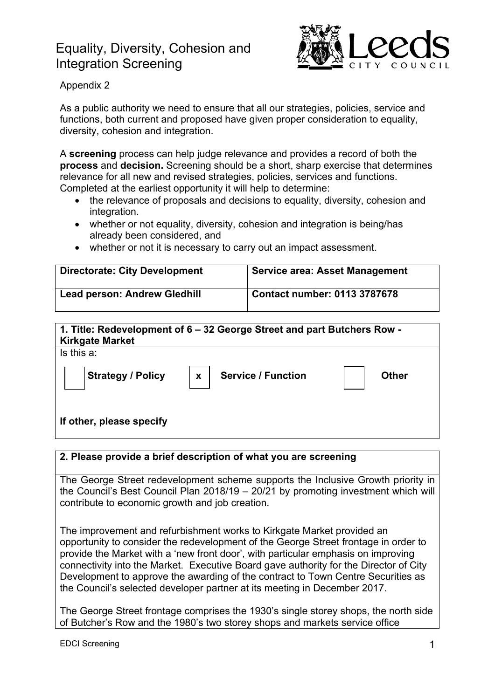# Equality, Diversity, Cohesion and Integration Screening



## Appendix 2

As a public authority we need to ensure that all our strategies, policies, service and functions, both current and proposed have given proper consideration to equality, diversity, cohesion and integration.

A **screening** process can help judge relevance and provides a record of both the **process** and **decision.** Screening should be a short, sharp exercise that determines relevance for all new and revised strategies, policies, services and functions. Completed at the earliest opportunity it will help to determine:

- the relevance of proposals and decisions to equality, diversity, cohesion and integration.
- whether or not equality, diversity, cohesion and integration is being/has already been considered, and
- whether or not it is necessary to carry out an impact assessment.

| <b>Directorate: City Development</b> | <b>Service area: Asset Management</b> |
|--------------------------------------|---------------------------------------|
| <b>Lead person: Andrew Gledhill</b>  | <b>Contact number: 0113 3787678</b>   |

| <b>Kirkgate Market</b>   | 1. Title: Redevelopment of 6 – 32 George Street and part Butchers Row - |              |
|--------------------------|-------------------------------------------------------------------------|--------------|
| Is this a:               |                                                                         |              |
| <b>Strategy / Policy</b> | <b>Service / Function</b><br>$\mathbf{x}$                               | <b>Other</b> |
| If other, please specify |                                                                         |              |

## **2. Please provide a brief description of what you are screening**

The George Street redevelopment scheme supports the Inclusive Growth priority in the Council's Best Council Plan 2018/19 – 20/21 by promoting investment which will contribute to economic growth and job creation.

The improvement and refurbishment works to Kirkgate Market provided an opportunity to consider the redevelopment of the George Street frontage in order to provide the Market with a 'new front door', with particular emphasis on improving connectivity into the Market. Executive Board gave authority for the Director of City Development to approve the awarding of the contract to Town Centre Securities as the Council's selected developer partner at its meeting in December 2017.

The George Street frontage comprises the 1930's single storey shops, the north side of Butcher's Row and the 1980's two storey shops and markets service office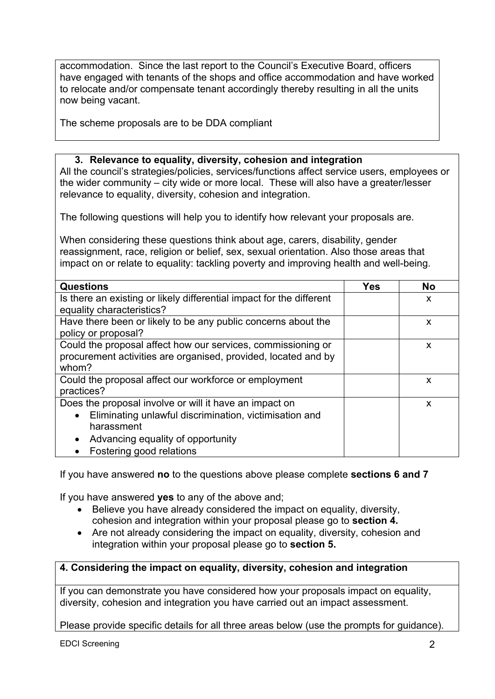accommodation. Since the last report to the Council's Executive Board, officers have engaged with tenants of the shops and office accommodation and have worked to relocate and/or compensate tenant accordingly thereby resulting in all the units now being vacant.

The scheme proposals are to be DDA compliant

#### **3. Relevance to equality, diversity, cohesion and integration**

All the council's strategies/policies, services/functions affect service users, employees or the wider community – city wide or more local. These will also have a greater/lesser relevance to equality, diversity, cohesion and integration.

The following questions will help you to identify how relevant your proposals are.

When considering these questions think about age, carers, disability, gender reassignment, race, religion or belief, sex, sexual orientation. Also those areas that impact on or relate to equality: tackling poverty and improving health and well-being.

| <b>Questions</b>                                                                                                                                                                                                          | <b>Yes</b> | <b>No</b> |
|---------------------------------------------------------------------------------------------------------------------------------------------------------------------------------------------------------------------------|------------|-----------|
| Is there an existing or likely differential impact for the different<br>equality characteristics?                                                                                                                         |            | X         |
| Have there been or likely to be any public concerns about the<br>policy or proposal?                                                                                                                                      |            | X         |
| Could the proposal affect how our services, commissioning or<br>procurement activities are organised, provided, located and by<br>whom?                                                                                   |            | X         |
| Could the proposal affect our workforce or employment<br>practices?                                                                                                                                                       |            | X         |
| Does the proposal involve or will it have an impact on<br>Eliminating unlawful discrimination, victimisation and<br>$\bullet$<br>harassment<br>Advancing equality of opportunity<br>$\bullet$<br>Fostering good relations |            | X         |

If you have answered **no** to the questions above please complete **sections 6 and 7**

If you have answered **yes** to any of the above and;

- Believe you have already considered the impact on equality, diversity, cohesion and integration within your proposal please go to **section 4.**
- Are not already considering the impact on equality, diversity, cohesion and integration within your proposal please go to **section 5.**

## **4. Considering the impact on equality, diversity, cohesion and integration**

If you can demonstrate you have considered how your proposals impact on equality, diversity, cohesion and integration you have carried out an impact assessment.

Please provide specific details for all three areas below (use the prompts for guidance).

EDCI Screening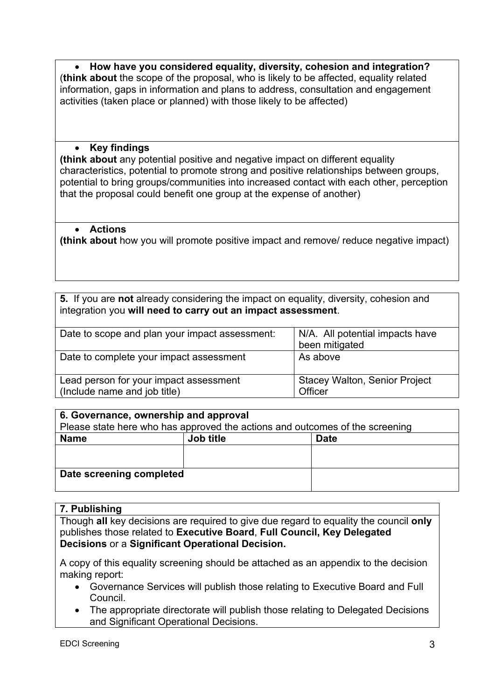**How have you considered equality, diversity, cohesion and integration?**  (**think about** the scope of the proposal, who is likely to be affected, equality related information, gaps in information and plans to address, consultation and engagement activities (taken place or planned) with those likely to be affected)

#### **Key findings**

**(think about** any potential positive and negative impact on different equality characteristics, potential to promote strong and positive relationships between groups, potential to bring groups/communities into increased contact with each other, perception that the proposal could benefit one group at the expense of another)

#### **Actions**

**(think about** how you will promote positive impact and remove/ reduce negative impact)

**5.** If you are **not** already considering the impact on equality, diversity, cohesion and integration you **will need to carry out an impact assessment**.

| Date to scope and plan your impact assessment:                         | N/A. All potential impacts have<br>been mitigated |
|------------------------------------------------------------------------|---------------------------------------------------|
| Date to complete your impact assessment                                | As above                                          |
| Lead person for your impact assessment<br>(Include name and job title) | <b>Stacey Walton, Senior Project</b><br>Officer   |

| 6. Governance, ownership and approval                                        |           |             |  |  |
|------------------------------------------------------------------------------|-----------|-------------|--|--|
| Please state here who has approved the actions and outcomes of the screening |           |             |  |  |
| <b>Name</b>                                                                  | Job title | <b>Date</b> |  |  |
|                                                                              |           |             |  |  |
|                                                                              |           |             |  |  |
| Date screening completed                                                     |           |             |  |  |

## **7. Publishing**

Though **all** key decisions are required to give due regard to equality the council **only** publishes those related to **Executive Board**, **Full Council, Key Delegated Decisions** or a **Significant Operational Decision.**

A copy of this equality screening should be attached as an appendix to the decision making report:

- Governance Services will publish those relating to Executive Board and Full Council.
- The appropriate directorate will publish those relating to Delegated Decisions and Significant Operational Decisions.